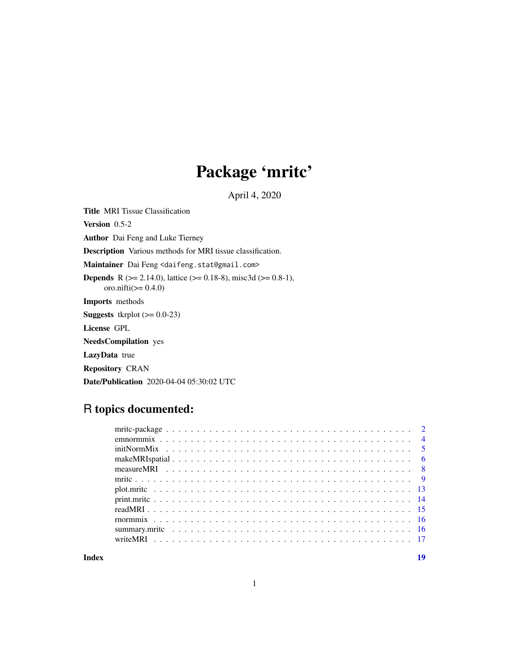## Package 'mritc'

April 4, 2020

<span id="page-0-0"></span>Title MRI Tissue Classification Version 0.5-2 Author Dai Feng and Luke Tierney Description Various methods for MRI tissue classification. Maintainer Dai Feng <daifeng.stat@gmail.com> **Depends** R ( $>= 2.14.0$ ), lattice ( $>= 0.18-8$ ), misc3d ( $>= 0.8-1$ ), oro.nifti(>= 0.4.0) Imports methods **Suggests** tkrplot  $(>= 0.0-23)$ License GPL NeedsCompilation yes LazyData true Repository CRAN Date/Publication 2020-04-04 05:30:02 UTC

## R topics documented:

**Index** 2008 **Index** 2008 **Index**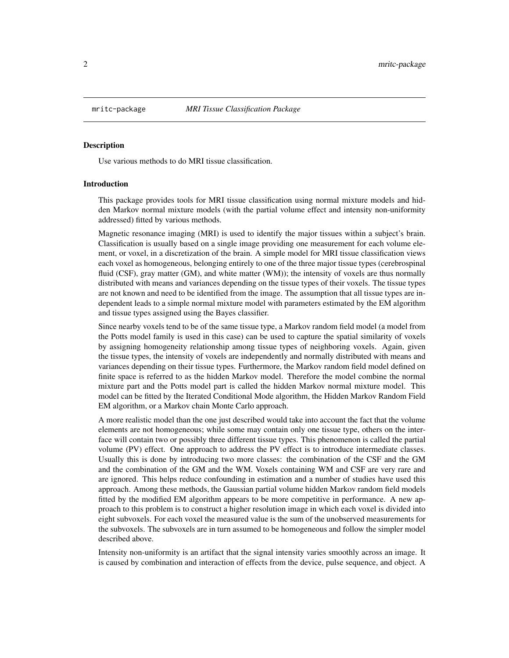<span id="page-1-0"></span>

Use various methods to do MRI tissue classification.

#### Introduction

This package provides tools for MRI tissue classification using normal mixture models and hidden Markov normal mixture models (with the partial volume effect and intensity non-uniformity addressed) fitted by various methods.

Magnetic resonance imaging (MRI) is used to identify the major tissues within a subject's brain. Classification is usually based on a single image providing one measurement for each volume element, or voxel, in a discretization of the brain. A simple model for MRI tissue classification views each voxel as homogeneous, belonging entirely to one of the three major tissue types (cerebrospinal fluid (CSF), gray matter (GM), and white matter (WM)); the intensity of voxels are thus normally distributed with means and variances depending on the tissue types of their voxels. The tissue types are not known and need to be identified from the image. The assumption that all tissue types are independent leads to a simple normal mixture model with parameters estimated by the EM algorithm and tissue types assigned using the Bayes classifier.

Since nearby voxels tend to be of the same tissue type, a Markov random field model (a model from the Potts model family is used in this case) can be used to capture the spatial similarity of voxels by assigning homogeneity relationship among tissue types of neighboring voxels. Again, given the tissue types, the intensity of voxels are independently and normally distributed with means and variances depending on their tissue types. Furthermore, the Markov random field model defined on finite space is referred to as the hidden Markov model. Therefore the model combine the normal mixture part and the Potts model part is called the hidden Markov normal mixture model. This model can be fitted by the Iterated Conditional Mode algorithm, the Hidden Markov Random Field EM algorithm, or a Markov chain Monte Carlo approach.

A more realistic model than the one just described would take into account the fact that the volume elements are not homogeneous; while some may contain only one tissue type, others on the interface will contain two or possibly three different tissue types. This phenomenon is called the partial volume (PV) effect. One approach to address the PV effect is to introduce intermediate classes. Usually this is done by introducing two more classes: the combination of the CSF and the GM and the combination of the GM and the WM. Voxels containing WM and CSF are very rare and are ignored. This helps reduce confounding in estimation and a number of studies have used this approach. Among these methods, the Gaussian partial volume hidden Markov random field models fitted by the modified EM algorithm appears to be more competitive in performance. A new approach to this problem is to construct a higher resolution image in which each voxel is divided into eight subvoxels. For each voxel the measured value is the sum of the unobserved measurements for the subvoxels. The subvoxels are in turn assumed to be homogeneous and follow the simpler model described above.

Intensity non-uniformity is an artifact that the signal intensity varies smoothly across an image. It is caused by combination and interaction of effects from the device, pulse sequence, and object. A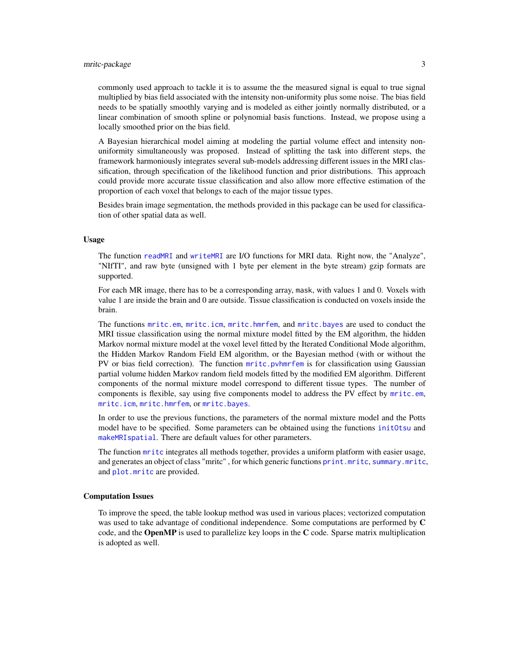<span id="page-2-0"></span>commonly used approach to tackle it is to assume the the measured signal is equal to true signal multiplied by bias field associated with the intensity non-uniformity plus some noise. The bias field needs to be spatially smoothly varying and is modeled as either jointly normally distributed, or a linear combination of smooth spline or polynomial basis functions. Instead, we propose using a locally smoothed prior on the bias field.

A Bayesian hierarchical model aiming at modeling the partial volume effect and intensity nonuniformity simultaneously was proposed. Instead of splitting the task into different steps, the framework harmoniously integrates several sub-models addressing different issues in the MRI classification, through specification of the likelihood function and prior distributions. This approach could provide more accurate tissue classification and also allow more effective estimation of the proportion of each voxel that belongs to each of the major tissue types.

Besides brain image segmentation, the methods provided in this package can be used for classification of other spatial data as well.

#### Usage

The function [readMRI](#page-14-1) and [writeMRI](#page-16-1) are I/O functions for MRI data. Right now, the "Analyze", "NIfTI", and raw byte (unsigned with 1 byte per element in the byte stream) gzip formats are supported.

For each MR image, there has to be a corresponding array, mask, with values 1 and 0. Voxels with value 1 are inside the brain and 0 are outside. Tissue classification is conducted on voxels inside the brain.

The functions [mritc.em](#page-8-1), [mritc.icm](#page-8-1), [mritc.hmrfem](#page-8-1), and [mritc.bayes](#page-8-1) are used to conduct the MRI tissue classification using the normal mixture model fitted by the EM algorithm, the hidden Markov normal mixture model at the voxel level fitted by the Iterated Conditional Mode algorithm, the Hidden Markov Random Field EM algorithm, or the Bayesian method (with or without the PV or bias field correction). The function [mritc.pvhmrfem](#page-8-1) is for classification using Gaussian partial volume hidden Markov random field models fitted by the modified EM algorithm. Different components of the normal mixture model correspond to different tissue types. The number of components is flexible, say using five components model to address the PV effect by [mritc.em](#page-8-1), [mritc.icm](#page-8-1), [mritc.hmrfem](#page-8-1), or [mritc.bayes](#page-8-1).

In order to use the previous functions, the parameters of the normal mixture model and the Potts model have to be specified. Some parameters can be obtained using the functions [initOtsu](#page-4-1) and [makeMRIspatial](#page-5-1). There are default values for other parameters.

The function [mritc](#page-8-2) integrates all methods together, provides a uniform platform with easier usage, and generates an object of class "mritc" , for which generic functions [print.mritc](#page-13-1), [summary.mritc](#page-15-1), and [plot.mritc](#page-12-1) are provided.

#### Computation Issues

To improve the speed, the table lookup method was used in various places; vectorized computation was used to take advantage of conditional independence. Some computations are performed by C code, and the **OpenMP** is used to parallelize key loops in the  $C$  code. Sparse matrix multiplication is adopted as well.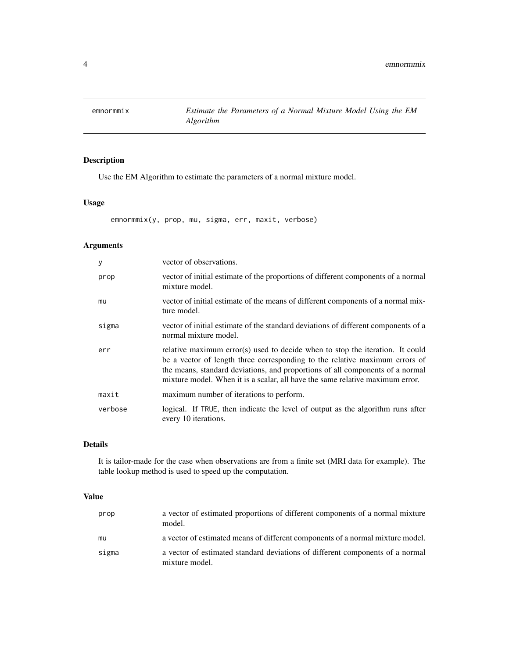<span id="page-3-0"></span>

Use the EM Algorithm to estimate the parameters of a normal mixture model.

## Usage

emnormmix(y, prop, mu, sigma, err, maxit, verbose)

## Arguments

| y       | vector of observations.                                                                                                                                                                                                                                                                                                        |
|---------|--------------------------------------------------------------------------------------------------------------------------------------------------------------------------------------------------------------------------------------------------------------------------------------------------------------------------------|
| prop    | vector of initial estimate of the proportions of different components of a normal<br>mixture model.                                                                                                                                                                                                                            |
| mu      | vector of initial estimate of the means of different components of a normal mix-<br>ture model.                                                                                                                                                                                                                                |
| sigma   | vector of initial estimate of the standard deviations of different components of a<br>normal mixture model.                                                                                                                                                                                                                    |
| err     | relative maximum error(s) used to decide when to stop the iteration. It could<br>be a vector of length three corresponding to the relative maximum errors of<br>the means, standard deviations, and proportions of all components of a normal<br>mixture model. When it is a scalar, all have the same relative maximum error. |
| maxit   | maximum number of iterations to perform.                                                                                                                                                                                                                                                                                       |
| verbose | logical. If TRUE, then indicate the level of output as the algorithm runs after<br>every 10 iterations.                                                                                                                                                                                                                        |

## Details

It is tailor-made for the case when observations are from a finite set (MRI data for example). The table lookup method is used to speed up the computation.

## Value

| prop  | a vector of estimated proportions of different components of a normal mixture<br>model.         |
|-------|-------------------------------------------------------------------------------------------------|
| mu    | a vector of estimated means of different components of a normal mixture model.                  |
| sigma | a vector of estimated standard deviations of different components of a normal<br>mixture model. |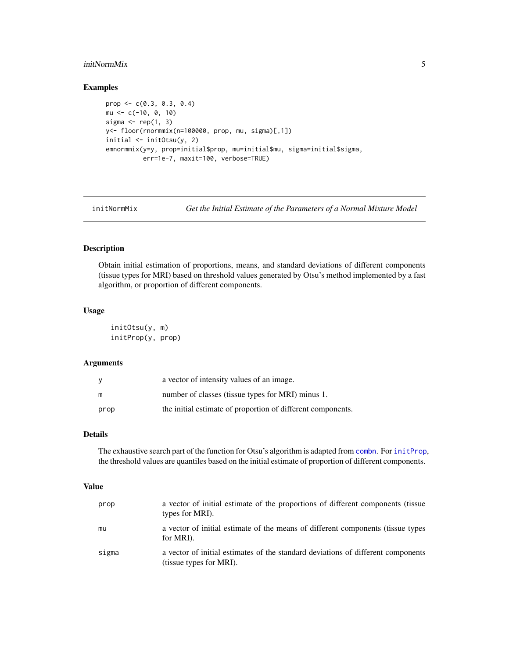#### <span id="page-4-0"></span>initNormMix 5

## Examples

```
prop <- c(0.3, 0.3, 0.4)
mu <- c(-10, 0, 10)
sigma \leftarrow rep(1, 3)
y<- floor(rnormmix(n=100000, prop, mu, sigma)[,1])
initial <- initOtsu(y, 2)
emnormmix(y=y, prop=initial$prop, mu=initial$mu, sigma=initial$sigma,
          err=1e-7, maxit=100, verbose=TRUE)
```
initNormMix *Get the Initial Estimate of the Parameters of a Normal Mixture Model*

## <span id="page-4-1"></span>Description

Obtain initial estimation of proportions, means, and standard deviations of different components (tissue types for MRI) based on threshold values generated by Otsu's method implemented by a fast algorithm, or proportion of different components.

#### Usage

```
initOtsu(y, m)
initProp(y, prop)
```
#### Arguments

| - V  | a vector of intensity values of an image.                   |
|------|-------------------------------------------------------------|
| m    | number of classes (tissue types for MRI) minus 1.           |
| prop | the initial estimate of proportion of different components. |

## Details

The exhaustive search part of the function for Otsu's algorithm is adapted from [combn](#page-0-0). For [initProp](#page-4-1), the threshold values are quantiles based on the initial estimate of proportion of different components.

#### Value

| prop  | a vector of initial estimate of the proportions of different components (tissue)<br>types for MRI).         |
|-------|-------------------------------------------------------------------------------------------------------------|
| mu    | a vector of initial estimate of the means of different components (tissue types<br>for MRI).                |
| sigma | a vector of initial estimates of the standard deviations of different components<br>(tissue types for MRI). |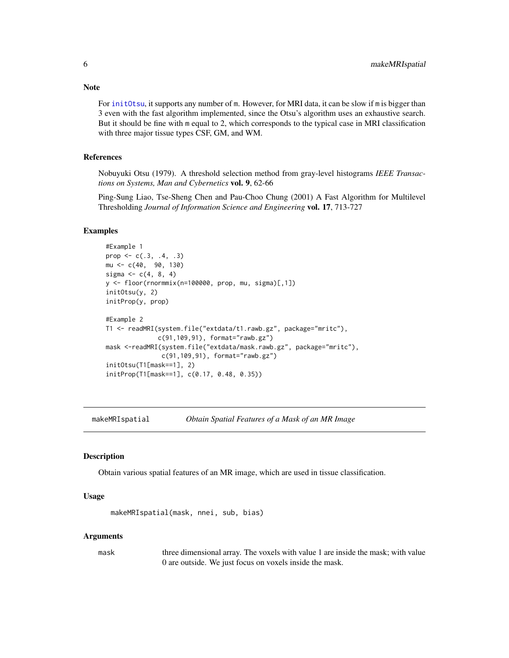For [initOtsu](#page-4-1), it supports any number of m. However, for MRI data, it can be slow if m is bigger than 3 even with the fast algorithm implemented, since the Otsu's algorithm uses an exhaustive search. But it should be fine with m equal to 2, which corresponds to the typical case in MRI classification with three major tissue types CSF, GM, and WM.

#### References

Nobuyuki Otsu (1979). A threshold selection method from gray-level histograms *IEEE Transactions on Systems, Man and Cybernetics* vol. 9, 62-66

Ping-Sung Liao, Tse-Sheng Chen and Pau-Choo Chung (2001) A Fast Algorithm for Multilevel Thresholding *Journal of Information Science and Engineering* vol. 17, 713-727

#### Examples

```
#Example 1
prop <-c(.3, .4, .3)mu <- c(40, 90, 130)
sigma <- c(4, 8, 4)y <- floor(rnormmix(n=100000, prop, mu, sigma)[,1])
initOtsu(y, 2)
initProp(y, prop)
#Example 2
T1 <- readMRI(system.file("extdata/t1.rawb.gz", package="mritc"),
              c(91,109,91), format="rawb.gz")
mask <-readMRI(system.file("extdata/mask.rawb.gz", package="mritc"),
               c(91,109,91), format="rawb.gz")
initOtsu(T1[mask==1], 2)
initProp(T1[mask==1], c(0.17, 0.48, 0.35))
```
<span id="page-5-1"></span>makeMRIspatial *Obtain Spatial Features of a Mask of an MR Image*

## Description

Obtain various spatial features of an MR image, which are used in tissue classification.

#### Usage

makeMRIspatial(mask, nnei, sub, bias)

#### Arguments

mask three dimensional array. The voxels with value 1 are inside the mask; with value 0 are outside. We just focus on voxels inside the mask.

## <span id="page-5-0"></span>**Note**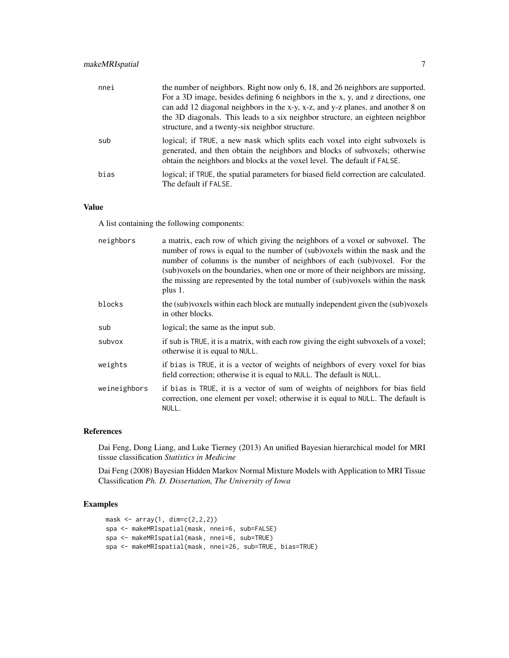| nnei | the number of neighbors. Right now only 6, 18, and 26 neighbors are supported.<br>For a 3D image, besides defining 6 neighbors in the x, y, and z directions, one<br>can add 12 diagonal neighbors in the x-y, x-z, and y-z planes, and another 8 on<br>the 3D diagonals. This leads to a six neighbor structure, an eighteen neighbor<br>structure, and a twenty-six neighbor structure. |
|------|-------------------------------------------------------------------------------------------------------------------------------------------------------------------------------------------------------------------------------------------------------------------------------------------------------------------------------------------------------------------------------------------|
| sub  | logical; if TRUE, a new mask which splits each voxel into eight subvoxels is<br>generated, and then obtain the neighbors and blocks of subvoxels; otherwise<br>obtain the neighbors and blocks at the voxel level. The default if FALSE.                                                                                                                                                  |
| bias | logical; if TRUE, the spatial parameters for biased field correction are calculated.<br>The default if FALSE.                                                                                                                                                                                                                                                                             |

## Value

A list containing the following components:

| neighbors    | a matrix, each row of which giving the neighbors of a voxel or subvoxel. The<br>number of rows is equal to the number of (sub)voxels within the mask and the<br>number of columns is the number of neighbors of each (sub)voxel. For the<br>(sub)voxels on the boundaries, when one or more of their neighbors are missing,<br>the missing are represented by the total number of (sub)voxels within the mask<br>plus 1. |
|--------------|--------------------------------------------------------------------------------------------------------------------------------------------------------------------------------------------------------------------------------------------------------------------------------------------------------------------------------------------------------------------------------------------------------------------------|
| blocks       | the (sub)voxels within each block are mutually independent given the (sub)voxels<br>in other blocks.                                                                                                                                                                                                                                                                                                                     |
| sub          | logical; the same as the input sub.                                                                                                                                                                                                                                                                                                                                                                                      |
| subvox       | if sub is TRUE, it is a matrix, with each row giving the eight subvoxels of a voxel;<br>otherwise it is equal to NULL.                                                                                                                                                                                                                                                                                                   |
| weights      | if bias is TRUE, it is a vector of weights of neighbors of every voxel for bias<br>field correction; otherwise it is equal to NULL. The default is NULL.                                                                                                                                                                                                                                                                 |
| weineighbors | if bias is TRUE, it is a vector of sum of weights of neighbors for bias field<br>correction, one element per voxel; otherwise it is equal to NULL. The default is<br>NULL.                                                                                                                                                                                                                                               |

#### References

Dai Feng, Dong Liang, and Luke Tierney (2013) An unified Bayesian hierarchical model for MRI tissue classification *Statistics in Medicine*

Dai Feng (2008) Bayesian Hidden Markov Normal Mixture Models with Application to MRI Tissue Classification *Ph. D. Dissertation, The University of Iowa*

```
mask \leftarrow array(1, dim=c(2, 2, 2))spa <- makeMRIspatial(mask, nnei=6, sub=FALSE)
spa <- makeMRIspatial(mask, nnei=6, sub=TRUE)
spa <- makeMRIspatial(mask, nnei=26, sub=TRUE, bias=TRUE)
```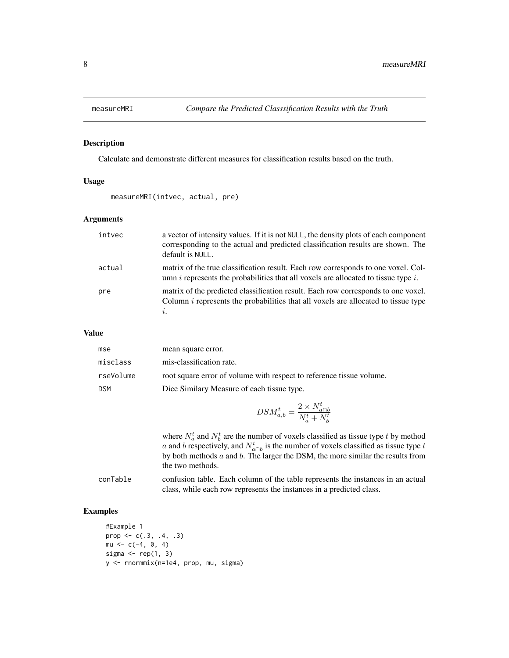<span id="page-7-0"></span>

Calculate and demonstrate different measures for classification results based on the truth.

#### Usage

```
measureMRI(intvec, actual, pre)
```
## Arguments

| intvec | a vector of intensity values. If it is not NULL, the density plots of each component<br>corresponding to the actual and predicted classification results are shown. The<br>default is NULL. |
|--------|---------------------------------------------------------------------------------------------------------------------------------------------------------------------------------------------|
| actual | matrix of the true classification result. Each row corresponds to one voxel. Col-<br>umn $i$ represents the probabilities that all voxels are allocated to tissue type $i$ .                |
| pre    | matrix of the predicted classification result. Each row corresponds to one voxel.<br>Column <i>i</i> represents the probabilities that all voxels are allocated to tissue type              |

#### Value

| mse        | mean square error.                                                   |
|------------|----------------------------------------------------------------------|
| misclass   | mis-classification rate.                                             |
| rseVolume  | root square error of volume with respect to reference tissue volume. |
| <b>DSM</b> | Dice Similary Measure of each tissue type.                           |

$$
DSM_{a,b}^t = \frac{2 \times N_{a \cap b}^t}{N_a^t + N_b^t}
$$

where  $N_a^t$  and  $N_b^t$  are the number of voxels classified as tissue type t by method a and b respectively, and  $N_{a\cap b}^t$  is the number of voxels classified as tissue type t by both methods  $a$  and  $b$ . The larger the DSM, the more similar the results from the two methods.

conTable confusion table. Each column of the table represents the instances in an actual class, while each row represents the instances in a predicted class.

```
#Example 1
prop \leq c(.3, .4, .3)mu \leftarrow c(-4, 0, 4)sigma \leq rep(1, 3)
y <- rnormmix(n=1e4, prop, mu, sigma)
```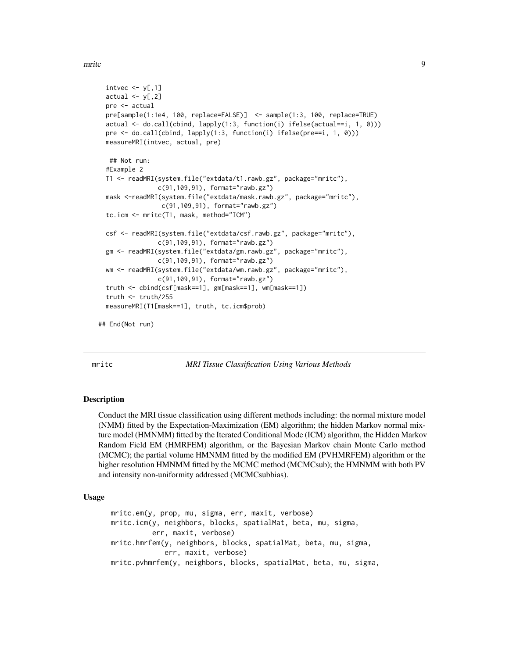<span id="page-8-0"></span>mritc 9

```
intvec \leq y[,1]
 actual \leq y[,2]
 pre <- actual
 pre[sample(1:1e4, 100, replace=FALSE)] <- sample(1:3, 100, replace=TRUE)
 actual <- do.call(cbind, lapply(1:3, function(i) ifelse(actual==i, 1, 0)))
 pre <- do.call(cbind, lapply(1:3, function(i) ifelse(pre==i, 1, 0)))
 measureMRI(intvec, actual, pre)
  ## Not run:
 #Example 2
 T1 <- readMRI(system.file("extdata/t1.rawb.gz", package="mritc"),
                c(91,109,91), format="rawb.gz")
 mask <-readMRI(system.file("extdata/mask.rawb.gz", package="mritc"),
                c(91,109,91), format="rawb.gz")
 tc.icm <- mritc(T1, mask, method="ICM")
 csf <- readMRI(system.file("extdata/csf.rawb.gz", package="mritc"),
               c(91,109,91), format="rawb.gz")
 gm <- readMRI(system.file("extdata/gm.rawb.gz", package="mritc"),
               c(91,109,91), format="rawb.gz")
 wm <- readMRI(system.file("extdata/wm.rawb.gz", package="mritc"),
               c(91,109,91), format="rawb.gz")
 truth <- cbind(csf[mask==1], gm[mask==1], wm[mask==1])
 truth <- truth/255
 measureMRI(T1[mask==1], truth, tc.icm$prob)
## End(Not run)
```
<span id="page-8-2"></span>mritc *MRI Tissue Classification Using Various Methods*

#### <span id="page-8-1"></span>Description

Conduct the MRI tissue classification using different methods including: the normal mixture model (NMM) fitted by the Expectation-Maximization (EM) algorithm; the hidden Markov normal mixture model (HMNMM) fitted by the Iterated Conditional Mode (ICM) algorithm, the Hidden Markov Random Field EM (HMRFEM) algorithm, or the Bayesian Markov chain Monte Carlo method (MCMC); the partial volume HMNMM fitted by the modified EM (PVHMRFEM) algorithm or the higher resolution HMNMM fitted by the MCMC method (MCMCsub); the HMNMM with both PV and intensity non-uniformity addressed (MCMCsubbias).

## Usage

```
mritc.em(y, prop, mu, sigma, err, maxit, verbose)
mritc.icm(y, neighbors, blocks, spatialMat, beta, mu, sigma,
         err, maxit, verbose)
mritc.hmrfem(y, neighbors, blocks, spatialMat, beta, mu, sigma,
             err, maxit, verbose)
mritc.pvhmrfem(y, neighbors, blocks, spatialMat, beta, mu, sigma,
```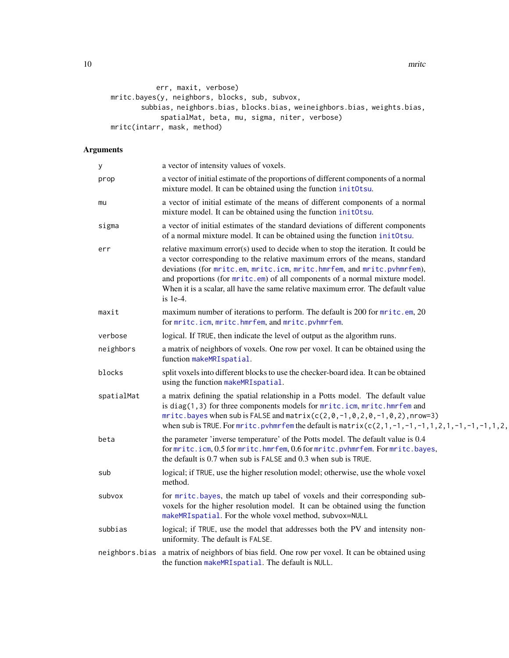<span id="page-9-0"></span>10 mritch method of the state of the state of the state of the state of the state of the state of the state of the state of the state of the state of the state of the state of the state of the state of the state of the sta

```
err, maxit, verbose)
mritc.bayes(y, neighbors, blocks, sub, subvox,
       subbias, neighbors.bias, blocks.bias, weineighbors.bias, weights.bias,
            spatialMat, beta, mu, sigma, niter, verbose)
mritc(intarr, mask, method)
```
## Arguments

| у          | a vector of intensity values of voxels.                                                                                                                                                                                                                                                                                                                                                                                       |
|------------|-------------------------------------------------------------------------------------------------------------------------------------------------------------------------------------------------------------------------------------------------------------------------------------------------------------------------------------------------------------------------------------------------------------------------------|
| prop       | a vector of initial estimate of the proportions of different components of a normal<br>mixture model. It can be obtained using the function initOtsu.                                                                                                                                                                                                                                                                         |
| mu         | a vector of initial estimate of the means of different components of a normal<br>mixture model. It can be obtained using the function initOtsu.                                                                                                                                                                                                                                                                               |
| sigma      | a vector of initial estimates of the standard deviations of different components<br>of a normal mixture model. It can be obtained using the function initOtsu.                                                                                                                                                                                                                                                                |
| err        | relative maximum error(s) used to decide when to stop the iteration. It could be<br>a vector corresponding to the relative maximum errors of the means, standard<br>deviations (for mritc.em, mritc.icm, mritc.hmrfem, and mritc.pvhmrfem),<br>and proportions (for mrite.em) of all components of a normal mixture model.<br>When it is a scalar, all have the same relative maximum error. The default value<br>is $1e-4$ . |
| maxit      | maximum number of iterations to perform. The default is 200 for mritc.em, 20<br>for mritc.icm, mritc.hmrfem, and mritc.pvhmrfem.                                                                                                                                                                                                                                                                                              |
| verbose    | logical. If TRUE, then indicate the level of output as the algorithm runs.                                                                                                                                                                                                                                                                                                                                                    |
| neighbors  | a matrix of neighbors of voxels. One row per voxel. It can be obtained using the<br>function makeMRIspatial.                                                                                                                                                                                                                                                                                                                  |
| blocks     | split voxels into different blocks to use the checker-board idea. It can be obtained<br>using the function makeMRIspatial.                                                                                                                                                                                                                                                                                                    |
| spatialMat | a matrix defining the spatial relationship in a Potts model. The default value<br>is diag(1,3) for three components models for mritc.icm, mritc.hmrfem and<br>mritc.bayes when sub is FALSE and matrix( $c(2, 0, -1, 0, 2, 0, -1, 0, 2)$ , nrow=3)<br>when sub is TRUE. For mrite, pvhmrfem the default is matrix $(c(2,1,-1,-1,-1,1,2,1,-1,-1,1,2,1,-1,1,2,1)$                                                               |
| beta       | the parameter 'inverse temperature' of the Potts model. The default value is 0.4<br>for mritc.icm, 0.5 for mritc.hmrfem, 0.6 for mritc.pvhmrfem. For mritc.bayes,<br>the default is 0.7 when sub is FALSE and 0.3 when sub is TRUE.                                                                                                                                                                                           |
| sub        | logical; if TRUE, use the higher resolution model; otherwise, use the whole voxel<br>method.                                                                                                                                                                                                                                                                                                                                  |
| subvox     | for mritc.bayes, the match up tabel of voxels and their corresponding sub-<br>voxels for the higher resolution model. It can be obtained using the function<br>makeMRIspatial. For the whole voxel method, subvox=NULL                                                                                                                                                                                                        |
| subbias    | logical; if TRUE, use the model that addresses both the PV and intensity non-<br>uniformity. The default is FALSE.                                                                                                                                                                                                                                                                                                            |
|            | neighbors. bias a matrix of neighbors of bias field. One row per voxel. It can be obtained using<br>the function makeMRI spatial. The default is NULL.                                                                                                                                                                                                                                                                        |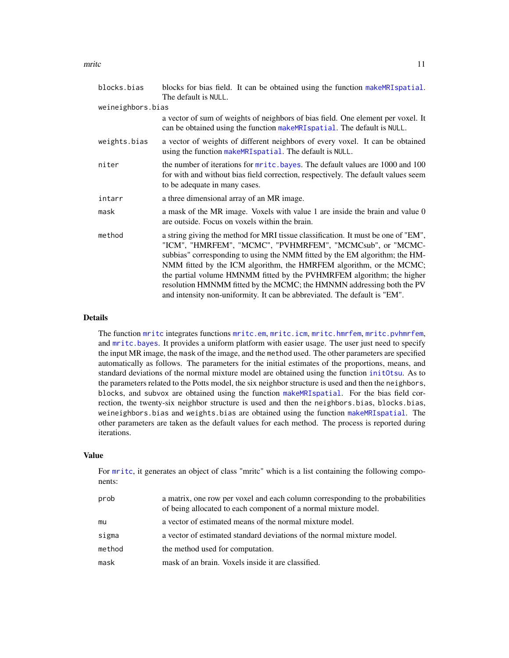#### <span id="page-10-0"></span>mritc the contract of the contract of the contract of the contract of the contract of the contract of the contract of the contract of the contract of the contract of the contract of the contract of the contract of the cont

| blocks.bias       | blocks for bias field. It can be obtained using the function make MRI spatial.<br>The default is NULL.                                                                                                                                                                                                                                                                                                                                                                                                                              |
|-------------------|-------------------------------------------------------------------------------------------------------------------------------------------------------------------------------------------------------------------------------------------------------------------------------------------------------------------------------------------------------------------------------------------------------------------------------------------------------------------------------------------------------------------------------------|
| weineighbors.bias |                                                                                                                                                                                                                                                                                                                                                                                                                                                                                                                                     |
|                   | a vector of sum of weights of neighbors of bias field. One element per voxel. It<br>can be obtained using the function make MRI spatial. The default is NULL.                                                                                                                                                                                                                                                                                                                                                                       |
| weights.bias      | a vector of weights of different neighbors of every voxel. It can be obtained<br>using the function makeMRI spatial. The default is NULL.                                                                                                                                                                                                                                                                                                                                                                                           |
| niter             | the number of iterations for mritc.bayes. The default values are 1000 and 100<br>for with and without bias field correction, respectively. The default values seem<br>to be adequate in many cases.                                                                                                                                                                                                                                                                                                                                 |
| intarr            | a three dimensional array of an MR image.                                                                                                                                                                                                                                                                                                                                                                                                                                                                                           |
| mask              | a mask of the MR image. Voxels with value 1 are inside the brain and value 0<br>are outside. Focus on voxels within the brain.                                                                                                                                                                                                                                                                                                                                                                                                      |
| method            | a string giving the method for MRI tissue classification. It must be one of "EM",<br>"ICM", "HMRFEM", "MCMC", "PVHMRFEM", "MCMCsub", or "MCMC-<br>subbias" corresponding to using the NMM fitted by the EM algorithm; the HM-<br>NMM fitted by the ICM algorithm, the HMRFEM algorithm, or the MCMC;<br>the partial volume HMNMM fitted by the PVHMRFEM algorithm; the higher<br>resolution HMNMM fitted by the MCMC; the HMNMN addressing both the PV<br>and intensity non-uniformity. It can be abbreviated. The default is "EM". |

#### Details

The function [mritc](#page-8-2) integrates functions [mritc.em](#page-8-1), [mritc.icm](#page-8-1), [mritc.hmrfem](#page-8-1), [mritc.pvhmrfem](#page-8-1), and [mritc.bayes](#page-8-1). It provides a uniform platform with easier usage. The user just need to specify the input MR image, the mask of the image, and the method used. The other parameters are specified automatically as follows. The parameters for the initial estimates of the proportions, means, and standard deviations of the normal mixture model are obtained using the function [initOtsu](#page-4-1). As to the parameters related to the Potts model, the six neighbor structure is used and then the neighbors, blocks, and subvox are obtained using the function [makeMRIspatial](#page-5-1). For the bias field correction, the twenty-six neighbor structure is used and then the neighbors.bias, blocks.bias, weineighbors.bias and weights.bias are obtained using the function [makeMRIspatial](#page-5-1). The other parameters are taken as the default values for each method. The process is reported during iterations.

#### Value

For [mritc](#page-8-2), it generates an object of class "mritc" which is a list containing the following components:

| prob   | a matrix, one row per voxel and each column corresponding to the probabilities<br>of being allocated to each component of a normal mixture model. |
|--------|---------------------------------------------------------------------------------------------------------------------------------------------------|
| mu     | a vector of estimated means of the normal mixture model.                                                                                          |
| sigma  | a vector of estimated standard deviations of the normal mixture model.                                                                            |
| method | the method used for computation.                                                                                                                  |
| mask   | mask of an brain. Voxels inside it are classified.                                                                                                |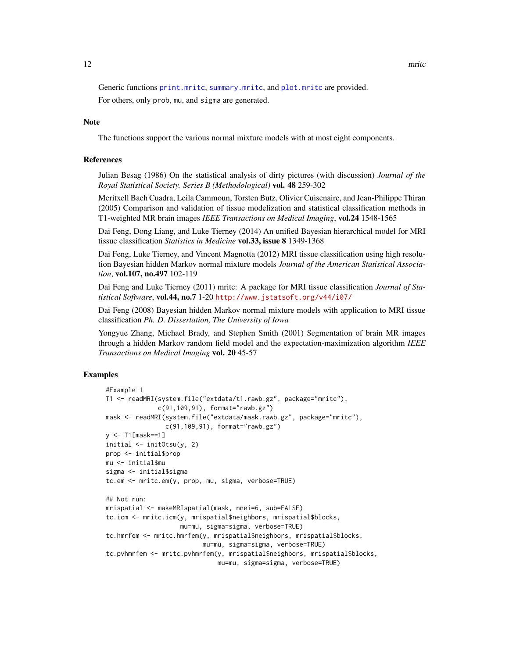<span id="page-11-0"></span>Generic functions [print.mritc](#page-13-1), [summary.mritc](#page-15-1), and [plot.mritc](#page-12-1) are provided.

For others, only prob, mu, and sigma are generated.

#### Note

The functions support the various normal mixture models with at most eight components.

## References

Julian Besag (1986) On the statistical analysis of dirty pictures (with discussion) *Journal of the Royal Statistical Society. Series B (Methodological)* vol. 48 259-302

Meritxell Bach Cuadra, Leila Cammoun, Torsten Butz, Olivier Cuisenaire, and Jean-Philippe Thiran (2005) Comparison and validation of tissue modelization and statistical classification methods in T1-weighted MR brain images *IEEE Transactions on Medical Imaging*, vol.24 1548-1565

Dai Feng, Dong Liang, and Luke Tierney (2014) An unified Bayesian hierarchical model for MRI tissue classification *Statistics in Medicine* vol.33, issue 8 1349-1368

Dai Feng, Luke Tierney, and Vincent Magnotta (2012) MRI tissue classification using high resolution Bayesian hidden Markov normal mixture models *Journal of the American Statistical Association*, vol.107, no.497 102-119

Dai Feng and Luke Tierney (2011) mritc: A package for MRI tissue classification *Journal of Statistical Software*, vol.44, no.7 1-20 <http://www.jstatsoft.org/v44/i07/>

Dai Feng (2008) Bayesian hidden Markov normal mixture models with application to MRI tissue classification *Ph. D. Dissertation, The University of Iowa*

Yongyue Zhang, Michael Brady, and Stephen Smith (2001) Segmentation of brain MR images through a hidden Markov random field model and the expectation-maximization algorithm *IEEE Transactions on Medical Imaging* vol. 20 45-57

```
#Example 1
T1 <- readMRI(system.file("extdata/t1.rawb.gz", package="mritc"),
              c(91,109,91), format="rawb.gz")
mask <- readMRI(system.file("extdata/mask.rawb.gz", package="mritc"),
                c(91,109,91), format="rawb.gz")
y <- T1[mask==1]
initial \leq initOtsu(y, 2)
prop <- initial$prop
mu <- initial$mu
sigma <- initial$sigma
tc.em <- mritc.em(y, prop, mu, sigma, verbose=TRUE)
## Not run:
mrispatial <- makeMRIspatial(mask, nnei=6, sub=FALSE)
tc.icm <- mritc.icm(y, mrispatial$neighbors, mrispatial$blocks,
                    mu=mu, sigma=sigma, verbose=TRUE)
tc.hmrfem <- mritc.hmrfem(y, mrispatial$neighbors, mrispatial$blocks,
                          mu=mu, sigma=sigma, verbose=TRUE)
tc.pvhmrfem <- mritc.pvhmrfem(y, mrispatial$neighbors, mrispatial$blocks,
                              mu=mu, sigma=sigma, verbose=TRUE)
```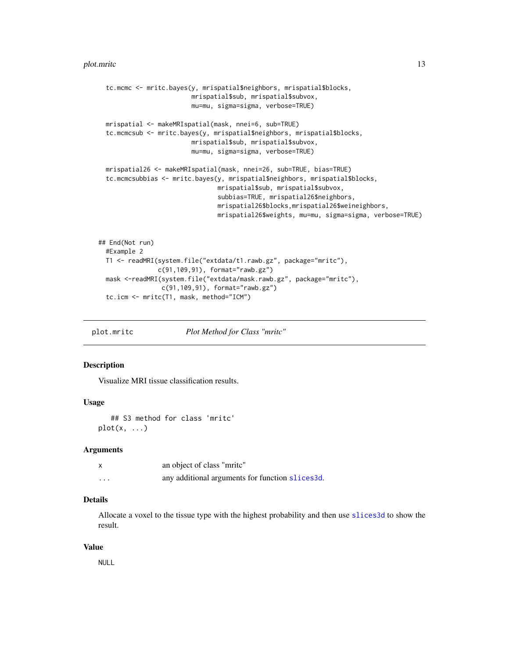```
tc.mcmc <- mritc.bayes(y, mrispatial$neighbors, mrispatial$blocks,
                         mrispatial$sub, mrispatial$subvox,
                         mu=mu, sigma=sigma, verbose=TRUE)
 mrispatial <- makeMRIspatial(mask, nnei=6, sub=TRUE)
 tc.mcmcsub <- mritc.bayes(y, mrispatial$neighbors, mrispatial$blocks,
                         mrispatial$sub, mrispatial$subvox,
                         mu=mu, sigma=sigma, verbose=TRUE)
 mrispatial26 <- makeMRIspatial(mask, nnei=26, sub=TRUE, bias=TRUE)
 tc.mcmcsubbias <- mritc.bayes(y, mrispatial$neighbors, mrispatial$blocks,
                                mrispatial$sub, mrispatial$subvox,
                                subbias=TRUE, mrispatial26$neighbors,
                                mrispatial26$blocks,mrispatial26$weineighbors,
                                mrispatial26$weights, mu=mu, sigma=sigma, verbose=TRUE)
## End(Not run)
 #Example 2
 T1 <- readMRI(system.file("extdata/t1.rawb.gz", package="mritc"),
                c(91,109,91), format="rawb.gz")
 mask <-readMRI(system.file("extdata/mask.rawb.gz", package="mritc"),
                 c(91,109,91), format="rawb.gz")
 tc.icm <- mritc(T1, mask, method="ICM")
```
<span id="page-12-1"></span>plot.mritc *Plot Method for Class "mritc"*

## Description

Visualize MRI tissue classification results.

## Usage

## S3 method for class 'mritc'  $plot(x, \ldots)$ 

#### Arguments

|          | an object of class "mrite"                      |
|----------|-------------------------------------------------|
| $\cdots$ | any additional arguments for function slices3d. |

## Details

Allocate a voxel to the tissue type with the highest probability and then use [slices3d](#page-0-0) to show the result.

#### Value

NULL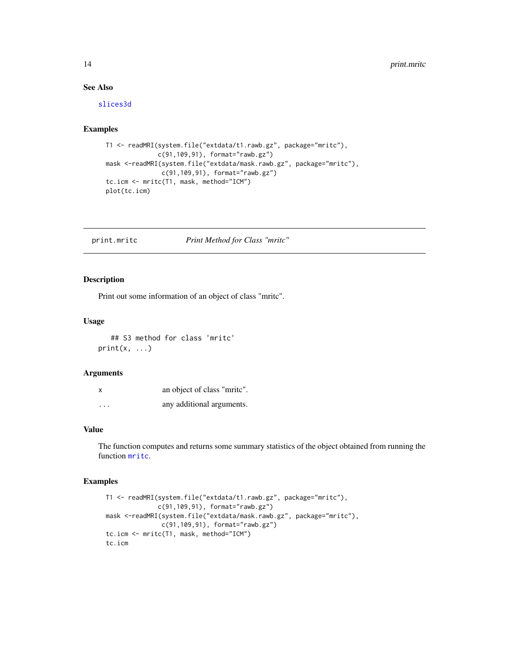## See Also

[slices3d](#page-0-0)

## Examples

```
T1 <- readMRI(system.file("extdata/t1.rawb.gz", package="mritc"),
              c(91,109,91), format="rawb.gz")
mask <-readMRI(system.file("extdata/mask.rawb.gz", package="mritc"),
               c(91,109,91), format="rawb.gz")
tc.icm <- mritc(T1, mask, method="ICM")
plot(tc.icm)
```
<span id="page-13-1"></span>print.mritc *Print Method for Class "mritc"*

## Description

Print out some information of an object of class "mritc".

## Usage

## S3 method for class 'mritc'  $print(x, \ldots)$ 

#### Arguments

|                         | an object of class "mrite". |
|-------------------------|-----------------------------|
| $\cdot$ $\cdot$ $\cdot$ | any additional arguments.   |

## Value

The function computes and returns some summary statistics of the object obtained from running the function [mritc](#page-8-2).

```
T1 <- readMRI(system.file("extdata/t1.rawb.gz", package="mritc"),
             c(91,109,91), format="rawb.gz")
mask <-readMRI(system.file("extdata/mask.rawb.gz", package="mritc"),
               c(91,109,91), format="rawb.gz")
tc.icm <- mritc(T1, mask, method="ICM")
tc.icm
```
<span id="page-13-0"></span>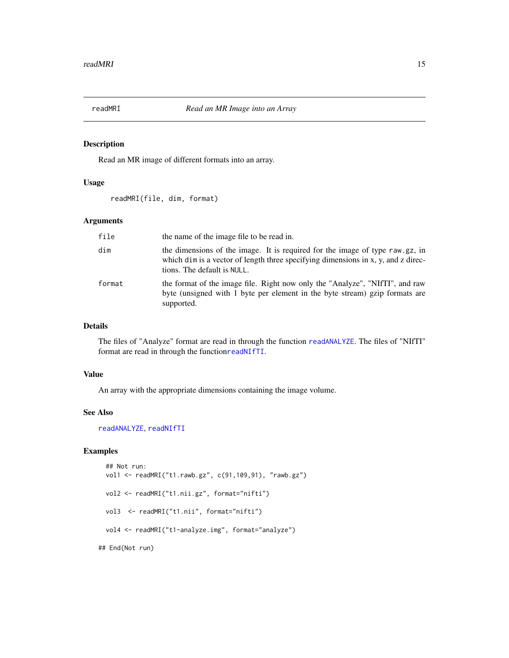<span id="page-14-1"></span><span id="page-14-0"></span>

Read an MR image of different formats into an array.

## Usage

readMRI(file, dim, format)

## Arguments

| file   | the name of the image file to be read in.                                                                                                                                                        |
|--------|--------------------------------------------------------------------------------------------------------------------------------------------------------------------------------------------------|
| dim    | the dimensions of the image. It is required for the image of type raw gz, in<br>which dim is a vector of length three specifying dimensions in x, y, and z direc-<br>tions. The default is NULL. |
| format | the format of the image file. Right now only the "Analyze", "NIfTI", and raw<br>byte (unsigned with 1 byte per element in the byte stream) gzip formats are<br>supported.                        |

## Details

The files of "Analyze" format are read in through the function [readANALYZE](#page-0-0). The files of "NIfTI" format are read in through the function[readNIfTI](#page-0-0).

#### Value

An array with the appropriate dimensions containing the image volume.

#### See Also

[readANALYZE](#page-0-0), [readNIfTI](#page-0-0)

```
## Not run:
 vol1 <- readMRI("t1.rawb.gz", c(91,109,91), "rawb.gz")
 vol2 <- readMRI("t1.nii.gz", format="nifti")
 vol3 <- readMRI("t1.nii", format="nifti")
 vol4 <- readMRI("t1-analyze.img", format="analyze")
## End(Not run)
```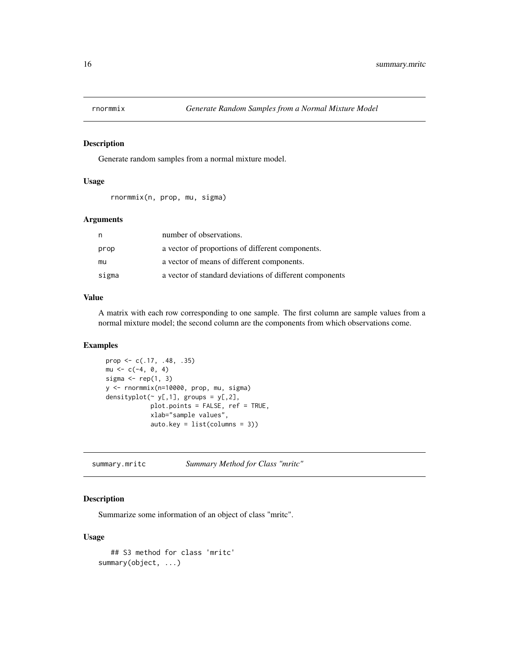<span id="page-15-0"></span>

Generate random samples from a normal mixture model.

#### Usage

```
rnormmix(n, prop, mu, sigma)
```
## Arguments

| n     | number of observations.                                 |
|-------|---------------------------------------------------------|
| prop  | a vector of proportions of different components.        |
| mu    | a vector of means of different components.              |
| sigma | a vector of standard deviations of different components |

## Value

A matrix with each row corresponding to one sample. The first column are sample values from a normal mixture model; the second column are the components from which observations come.

#### Examples

```
prop <- c(.17, .48, .35)
mu < -c(-4, 0, 4)sigma \leq rep(1, 3)
y <- rnormmix(n=10000, prop, mu, sigma)
densityplot(\sim y[,1], groups = y[,2],
            plot.points = FALSE, ref = TRUE,
            xlab="sample values",
            auto.key = list(columns = 3))
```
<span id="page-15-1"></span>summary.mritc *Summary Method for Class "mritc"*

## Description

Summarize some information of an object of class "mritc".

## Usage

```
## S3 method for class 'mritc'
summary(object, ...)
```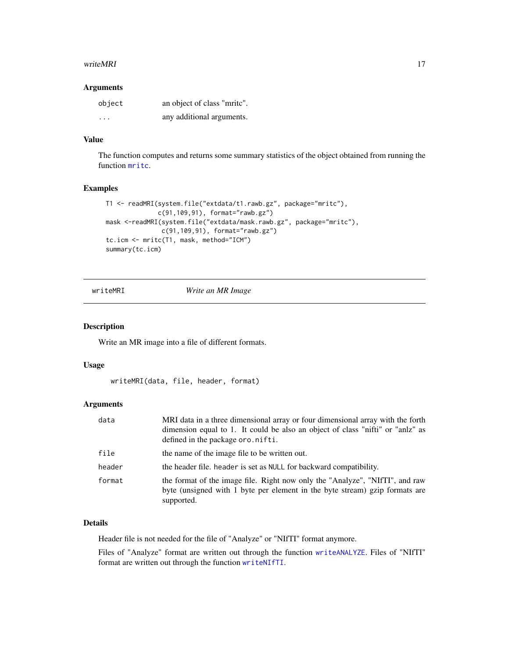#### <span id="page-16-0"></span>writeMRI 17

## Arguments

| object                  | an object of class "mrite". |
|-------------------------|-----------------------------|
| $\cdot$ $\cdot$ $\cdot$ | any additional arguments.   |

## Value

The function computes and returns some summary statistics of the object obtained from running the function [mritc](#page-8-2).

## Examples

```
T1 <- readMRI(system.file("extdata/t1.rawb.gz", package="mritc"),
              c(91,109,91), format="rawb.gz")
mask <-readMRI(system.file("extdata/mask.rawb.gz", package="mritc"),
               c(91,109,91), format="rawb.gz")
tc.icm <- mritc(T1, mask, method="ICM")
summary(tc.icm)
```
<span id="page-16-1"></span>

writeMRI *Write an MR Image*

#### Description

Write an MR image into a file of different formats.

#### Usage

```
writeMRI(data, file, header, format)
```
## Arguments

| data   | MRI data in a three dimensional array or four dimensional array with the forth<br>dimension equal to 1. It could be also an object of class "nifti" or "and z" as<br>defined in the package oro.nifti. |
|--------|--------------------------------------------------------------------------------------------------------------------------------------------------------------------------------------------------------|
| file   | the name of the image file to be written out.                                                                                                                                                          |
| header | the header file. header is set as NULL for backward compatibility.                                                                                                                                     |
| format | the format of the image file. Right now only the "Analyze", "NIfTI", and raw<br>byte (unsigned with 1 byte per element in the byte stream) gzip formats are<br>supported.                              |

## Details

Header file is not needed for the file of "Analyze" or "NIfTI" format anymore.

Files of "Analyze" format are written out through the function [writeANALYZE](#page-0-0). Files of "NIfTI" format are written out through the function [writeNIfTI](#page-0-0).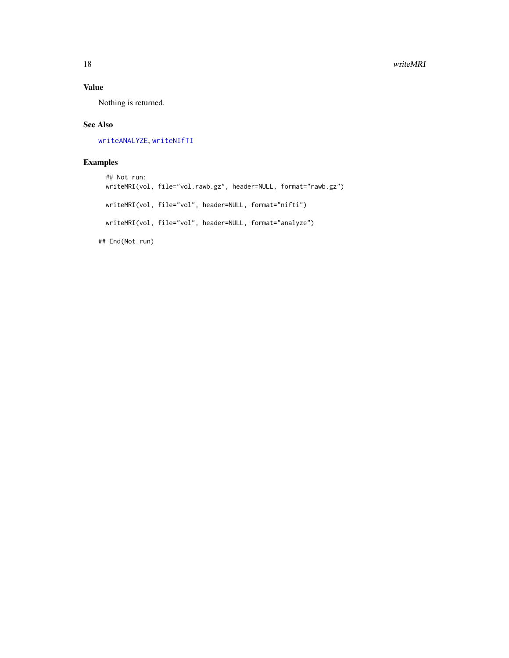## <span id="page-17-0"></span>Value

Nothing is returned.

## See Also

[writeANALYZE](#page-0-0), [writeNIfTI](#page-0-0)

```
## Not run:
 writeMRI(vol, file="vol.rawb.gz", header=NULL, format="rawb.gz")
 writeMRI(vol, file="vol", header=NULL, format="nifti")
 writeMRI(vol, file="vol", header=NULL, format="analyze")
## End(Not run)
```